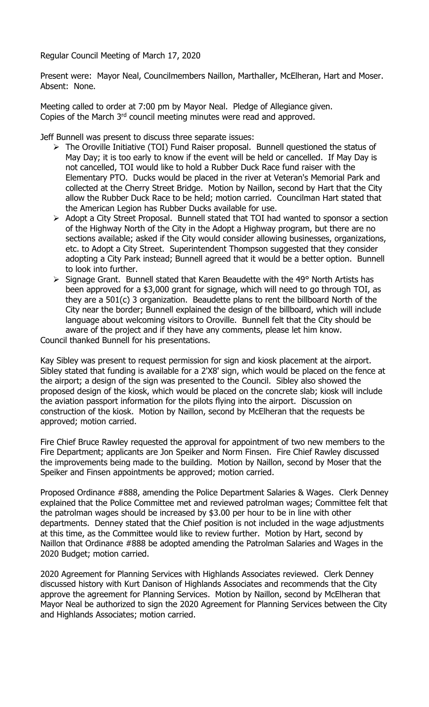Regular Council Meeting of March 17, 2020

Present were: Mayor Neal, Councilmembers Naillon, Marthaller, McElheran, Hart and Moser. Absent: None.

Meeting called to order at 7:00 pm by Mayor Neal. Pledge of Allegiance given. Copies of the March 3<sup>rd</sup> council meeting minutes were read and approved.

Jeff Bunnell was present to discuss three separate issues:

- The Oroville Initiative (TOI) Fund Raiser proposal. Bunnell questioned the status of May Day; it is too early to know if the event will be held or cancelled. If May Day is not cancelled, TOI would like to hold a Rubber Duck Race fund raiser with the Elementary PTO. Ducks would be placed in the river at Veteran's Memorial Park and collected at the Cherry Street Bridge. Motion by Naillon, second by Hart that the City allow the Rubber Duck Race to be held; motion carried. Councilman Hart stated that the American Legion has Rubber Ducks available for use.
- Adopt a City Street Proposal. Bunnell stated that TOI had wanted to sponsor a section of the Highway North of the City in the Adopt a Highway program, but there are no sections available; asked if the City would consider allowing businesses, organizations, etc. to Adopt a City Street. Superintendent Thompson suggested that they consider adopting a City Park instead; Bunnell agreed that it would be a better option. Bunnell to look into further.
- $\triangleright$  Signage Grant. Bunnell stated that Karen Beaudette with the 49° North Artists has been approved for a \$3,000 grant for signage, which will need to go through TOI, as they are a 501(c) 3 organization. Beaudette plans to rent the billboard North of the City near the border; Bunnell explained the design of the billboard, which will include language about welcoming visitors to Oroville. Bunnell felt that the City should be aware of the project and if they have any comments, please let him know.

Council thanked Bunnell for his presentations.

Kay Sibley was present to request permission for sign and kiosk placement at the airport. Sibley stated that funding is available for a 2'X8' sign, which would be placed on the fence at the airport; a design of the sign was presented to the Council. Sibley also showed the proposed design of the kiosk, which would be placed on the concrete slab; kiosk will include the aviation passport information for the pilots flying into the airport. Discussion on construction of the kiosk. Motion by Naillon, second by McElheran that the requests be approved; motion carried.

Fire Chief Bruce Rawley requested the approval for appointment of two new members to the Fire Department; applicants are Jon Speiker and Norm Finsen. Fire Chief Rawley discussed the improvements being made to the building. Motion by Naillon, second by Moser that the Speiker and Finsen appointments be approved; motion carried.

Proposed Ordinance #888, amending the Police Department Salaries & Wages. Clerk Denney explained that the Police Committee met and reviewed patrolman wages; Committee felt that the patrolman wages should be increased by \$3.00 per hour to be in line with other departments. Denney stated that the Chief position is not included in the wage adjustments at this time, as the Committee would like to review further. Motion by Hart, second by Naillon that Ordinance #888 be adopted amending the Patrolman Salaries and Wages in the 2020 Budget; motion carried.

2020 Agreement for Planning Services with Highlands Associates reviewed. Clerk Denney discussed history with Kurt Danison of Highlands Associates and recommends that the City approve the agreement for Planning Services. Motion by Naillon, second by McElheran that Mayor Neal be authorized to sign the 2020 Agreement for Planning Services between the City and Highlands Associates; motion carried.